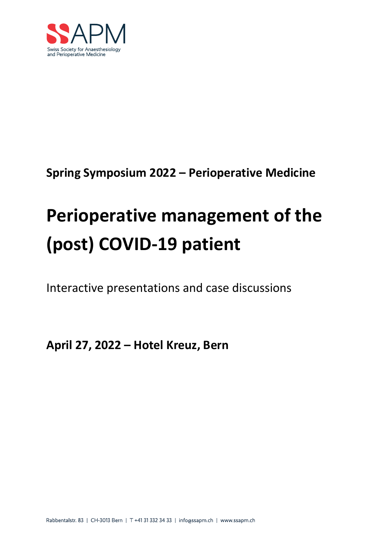

**Spring Symposium 2022 – Perioperative Medicine**

# **Perioperative management of the (post) COVID-19 patient**

Interactive presentations and case discussions

**April 27, 2022 – Hotel Kreuz, Bern**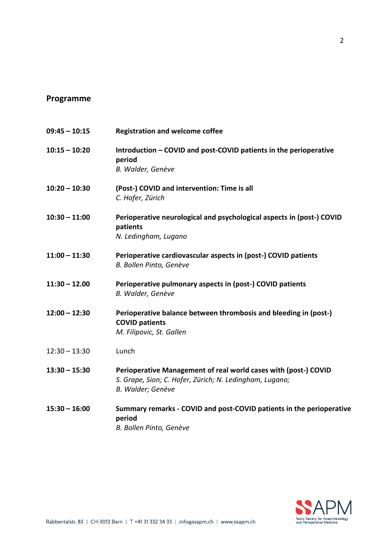## **Programme**

| $09:45 - 10:15$ | <b>Registration and welcome coffee</b>                                                                                                          |
|-----------------|-------------------------------------------------------------------------------------------------------------------------------------------------|
| $10:15 - 10:20$ | Introduction - COVID and post-COVID patients in the perioperative<br>period<br>B. Walder, Genève                                                |
| $10:20 - 10:30$ | (Post-) COVID and intervention: Time is all<br>C. Hofer, Zürich                                                                                 |
| $10:30 - 11:00$ | Perioperative neurological and psychological aspects in (post-) COVID<br>patients<br>N. Ledingham, Lugano                                       |
| $11:00 - 11:30$ | Perioperative cardiovascular aspects in (post-) COVID patients<br>B. Bollen Pinto, Genève                                                       |
| $11:30 - 12.00$ | Perioperative pulmonary aspects in (post-) COVID patients<br>B. Walder, Genève                                                                  |
| $12:00 - 12:30$ | Perioperative balance between thrombosis and bleeding in (post-)<br><b>COVID patients</b><br>M. Filipovic, St. Gallen                           |
| $12:30 - 13:30$ | Lunch                                                                                                                                           |
| $13:30 - 15:30$ | Perioperative Management of real world cases with (post-) COVID<br>S. Grape, Sion; C. Hofer, Zürich; N. Ledingham, Lugano;<br>B. Walder; Genève |
| $15:30 - 16:00$ | Summary remarks - COVID and post-COVID patients in the perioperative<br>period<br>B. Bollen Pinto, Genève                                       |



2